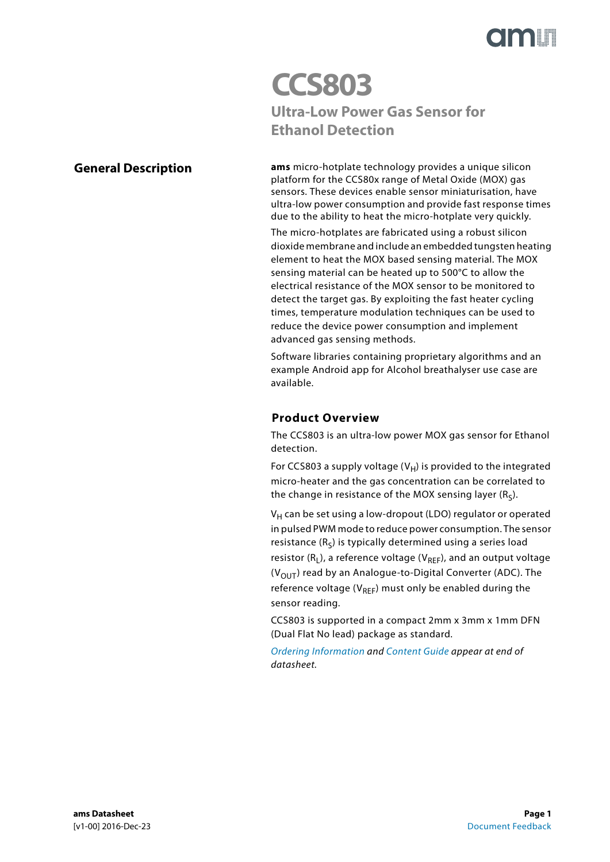

# **CCS803 Ultra-Low Power Gas Sensor for Ethanol Detection**

## <span id="page-0-0"></span>**General Description**

**ams** micro-hotplate technology provides a unique silicon platform for the CCS80x range of Metal Oxide (MOX) gas sensors. These devices enable sensor miniaturisation, have ultra-low power consumption and provide fast response times due to the ability to heat the micro-hotplate very quickly.

The micro-hotplates are fabricated using a robust silicon dioxide membrane and include an embedded tungsten heating element to heat the MOX based sensing material. The MOX sensing material can be heated up to 500°C to allow the electrical resistance of the MOX sensor to be monitored to detect the target gas. By exploiting the fast heater cycling times, temperature modulation techniques can be used to reduce the device power consumption and implement advanced gas sensing methods.

Software libraries containing proprietary algorithms and an example Android app for Alcohol breathalyser use case are available.

## **Product Overview**

<span id="page-0-1"></span>The CCS803 is an ultra-low power MOX gas sensor for Ethanol detection.

For CCS803 a supply voltage  $(V_H)$  is provided to the integrated micro-heater and the gas concentration can be correlated to the change in resistance of the MOX sensing layer  $(R<sub>s</sub>)$ .

 $V_H$  can be set using a low-dropout (LDO) regulator or operated in pulsed PWM mode to reduce power consumption. The sensor resistance  $(R<sub>S</sub>)$  is typically determined using a series load resistor  $(R_L)$ , a reference voltage ( $V_{REF}$ ), and an output voltage  $(V<sub>OUT</sub>)$  read by an Analogue-to-Digital Converter (ADC). The reference voltage ( $V_{RFF}$ ) must only be enabled during the sensor reading.

CCS803 is supported in a compact 2mm x 3mm x 1mm DFN (Dual Flat No lead) package as standard.

[Ordering Information](#page-9-0) and [Content Guide](#page-14-0) appear at end of datasheet.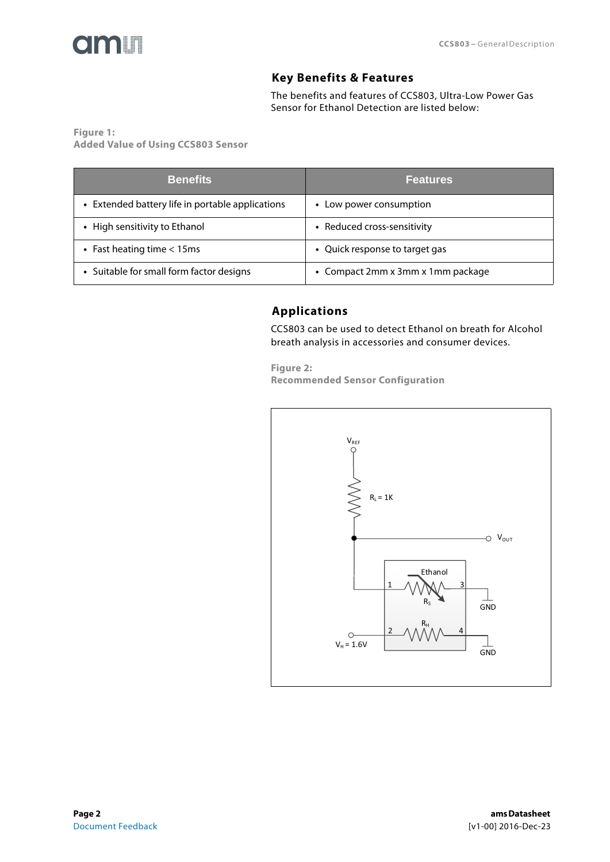<span id="page-1-0"></span>

## **Key Benefits & Features**

The benefits and features of CCS803, Ultra-Low Power Gas Sensor for Ethanol Detection are listed below:

**Figure 1: Added Value of Using CCS803 Sensor** 

<span id="page-1-1"></span>

| <b>Benefits</b>                                  | <b>Features</b>                   |
|--------------------------------------------------|-----------------------------------|
| • Extended battery life in portable applications | Low power consumption             |
| • High sensitivity to Ethanol                    | • Reduced cross-sensitivity       |
| • Fast heating time $<$ 15ms                     | • Quick response to target gas    |
| • Suitable for small form factor designs         | • Compact 2mm x 3mm x 1mm package |

# **Applications**

CCS803 can be used to detect Ethanol on breath for Alcohol breath analysis in accessories and consumer devices.

**Figure 2: Recommended Sensor Configuration** 

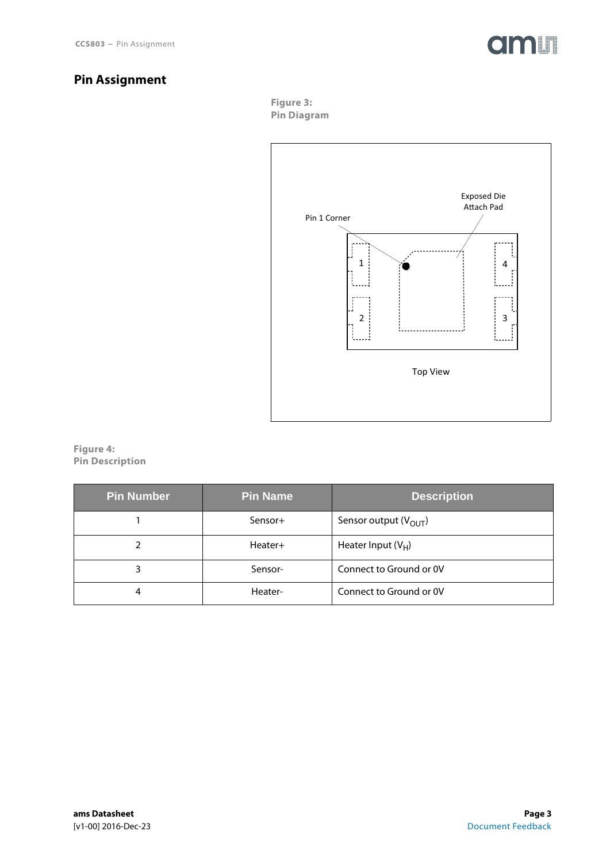

# <span id="page-2-0"></span>**Pin Assignment**

**Figure 3: Pin Diagram** 



**Figure 4: Pin Description** 

| <b>Pin Number</b> | <b>Pin Name</b> | <b>Description</b>        |
|-------------------|-----------------|---------------------------|
|                   | Sensor+         | Sensor output $(V_{OUT})$ |
|                   | Heater+         | Heater Input $(V_H)$      |
|                   | Sensor-         | Connect to Ground or OV   |
| 4                 | Heater-         | Connect to Ground or OV   |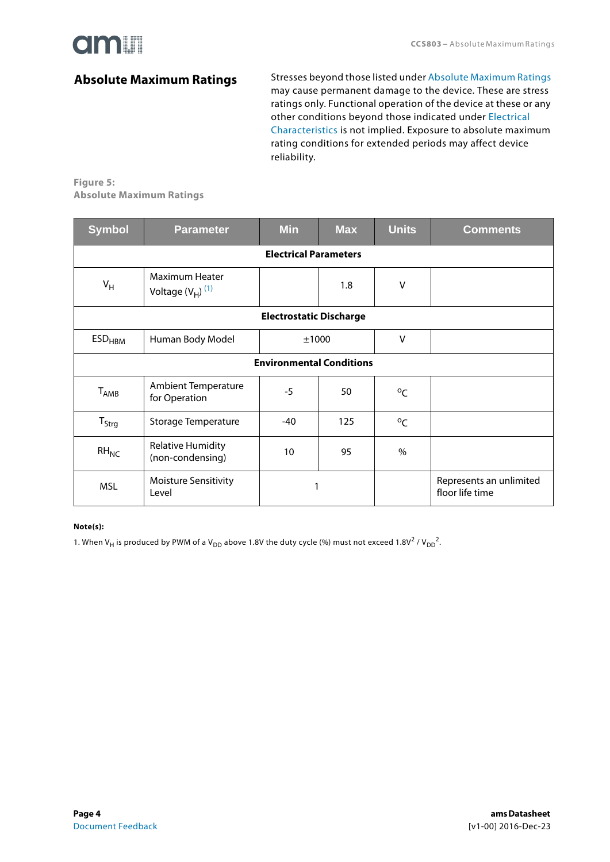

## <span id="page-3-2"></span>**Absolute Maximum Ratings**

Stresses beyond those listed under [Absolute Maximum Ratings](#page-3-0) may cause permanent damage to the device. These are stress ratings only. Functional operation of the device at these or any other conditions beyond those indicated under [Electrical](#page-4-0)  [Characteristics](#page-4-0) is not implied. Exposure to absolute maximum rating conditions for extended periods may affect device reliability.

### <span id="page-3-0"></span>**Figure 5: Absolute Maximum Ratings**

| <b>Symbol</b>                   | <b>Parameter</b>                             | <b>Min</b>                   | <b>Max</b> | <b>Units</b> | <b>Comments</b>                            |  |
|---------------------------------|----------------------------------------------|------------------------------|------------|--------------|--------------------------------------------|--|
|                                 |                                              | <b>Electrical Parameters</b> |            |              |                                            |  |
| $V_H$                           | Maximum Heater<br>Voltage $(V_H)^{(1)}$      |                              | 1.8        | V            |                                            |  |
| <b>Electrostatic Discharge</b>  |                                              |                              |            |              |                                            |  |
| <b>ESD<sub>HBM</sub></b>        | Human Body Model                             | ±1000                        |            | $\vee$       |                                            |  |
| <b>Environmental Conditions</b> |                                              |                              |            |              |                                            |  |
| $T_{AMB}$                       | <b>Ambient Temperature</b><br>for Operation  | $-5$                         | 50         | $^{\circ}$ C |                                            |  |
| $T_{\text{Strg}}$               | <b>Storage Temperature</b>                   | $-40$                        | 125        | $^{\circ}$ C |                                            |  |
| $RH_{NC}$                       | <b>Relative Humidity</b><br>(non-condensing) | 10 <sup>10</sup>             | 95         | $\%$         |                                            |  |
| <b>MSL</b>                      | <b>Moisture Sensitivity</b><br>Level         | 1                            |            |              | Represents an unlimited<br>floor life time |  |

#### **Note(s):**

<span id="page-3-1"></span>1. When V<sub>H</sub> is produced by PWM of a V<sub>DD</sub> above 1.8V the duty cycle (%) must not exceed 1.8V<sup>2</sup> / V<sub>DD</sub><sup>2</sup>.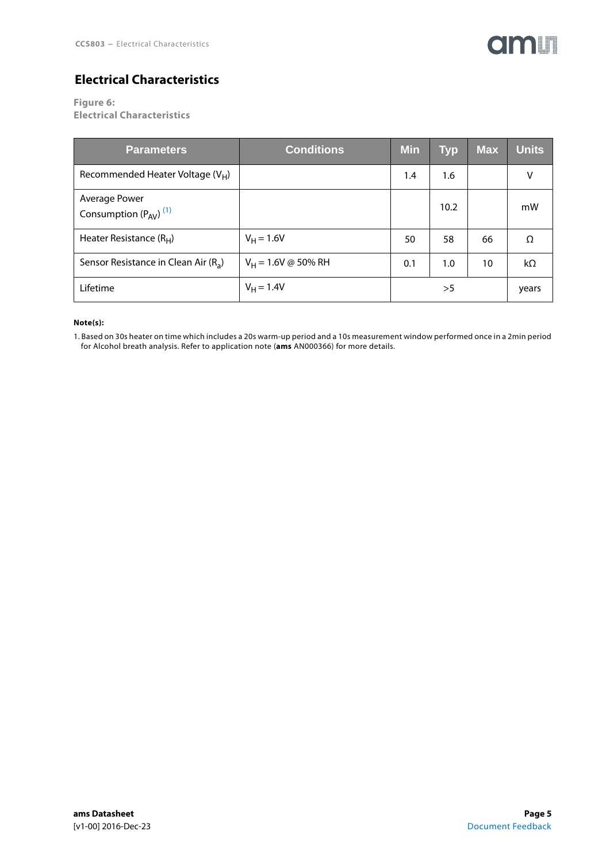

# <span id="page-4-2"></span>**Electrical Characteristics**

<span id="page-4-0"></span>**Figure 6:**

**Electrical Characteristics** 

| <b>Parameters</b>                                      | <b>Conditions</b>            | <b>Min</b> | <b>Typ</b> | <b>Max</b> | <b>Units</b> |
|--------------------------------------------------------|------------------------------|------------|------------|------------|--------------|
| Recommended Heater Voltage $(V_H)$                     |                              | 1.4        | 1.6        |            | v            |
| Average Power<br>Consumption $(P_{AV})$ <sup>(1)</sup> |                              |            | 10.2       |            | mW           |
| Heater Resistance $(RH)$                               | $V_H = 1.6V$                 | 50         | 58         | 66         | $\Omega$     |
| Sensor Resistance in Clean Air $(R_a)$                 | $V_H = 1.6V \otimes 50\%$ RH | 0.1        | 1.0        | 10         | $k\Omega$    |
| Lifetime                                               | $V_H = 1.4V$                 |            | >5         |            | years        |

#### **Note(s):**

<span id="page-4-1"></span>1. Based on 30s heater on time which includes a 20s warm-up period and a 10s measurement window performed once in a 2min period for Alcohol breath analysis. Refer to application note (**ams** AN000366) for more details.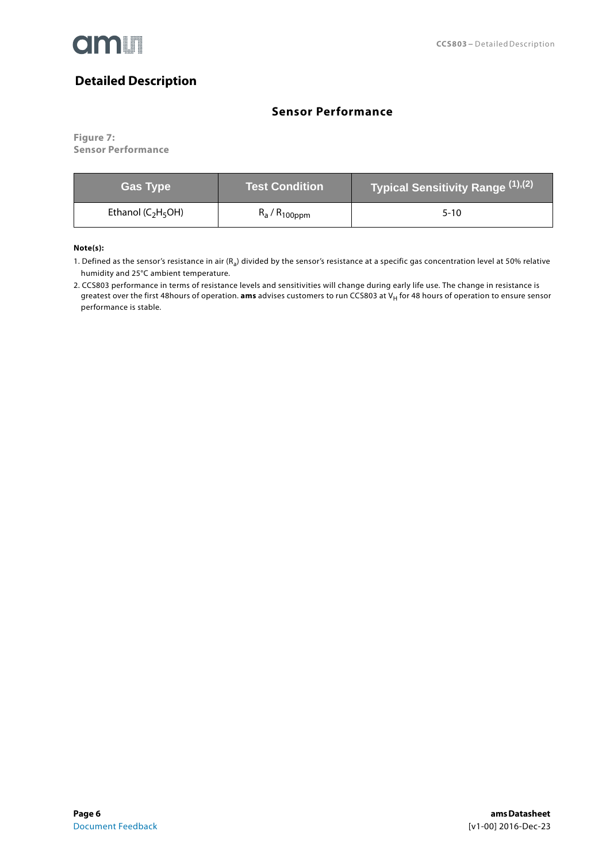

# <span id="page-5-2"></span>**Detailed Description**

## **Sensor Performance**

<span id="page-5-3"></span>**Figure 7: Sensor Performance**

| <b>Gas Type</b>        | Test Condition     | Typical Sensitivity Range (1),(2) |
|------------------------|--------------------|-----------------------------------|
| Ethanol ( $C_2H_5OH$ ) | $R_a / R_{100$ ppm | $5-10$                            |

**Note(s):**

<span id="page-5-0"></span>1. Defined as the sensor's resistance in air  $(R_a)$  divided by the sensor's resistance at a specific gas concentration level at 50% relative humidity and 25°C ambient temperature.

<span id="page-5-1"></span>2. CCS803 performance in terms of resistance levels and sensitivities will change during early life use. The change in resistance is greatest over the first 48hours of operation. **ams** advises customers to run CCS803 at V<sub>H</sub> for 48 hours of operation to ensure sensor performance is stable.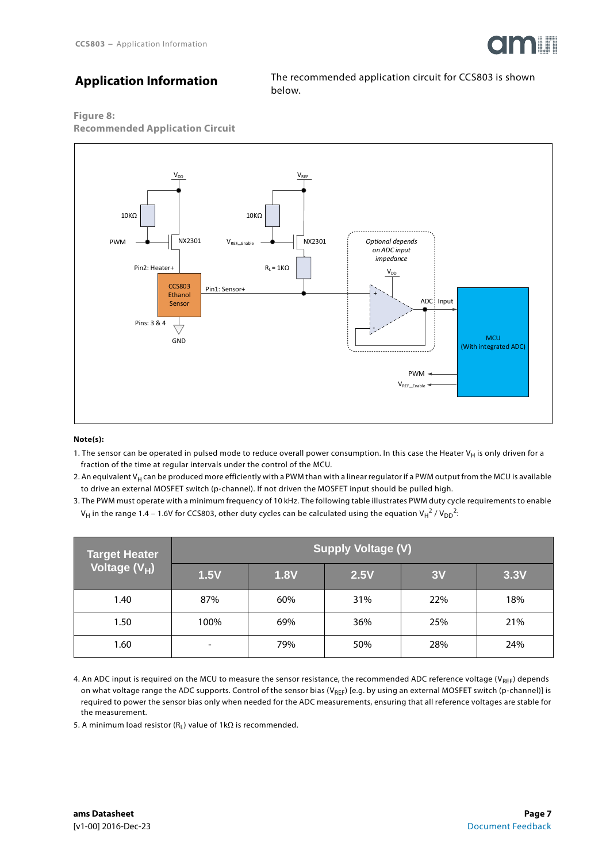

# **Application Information**

The recommended application circuit for CCS803 is shown below.

**Figure 8:**





#### **Note(s):**

- 1. The sensor can be operated in pulsed mode to reduce overall power consumption. In this case the Heater V<sub>H</sub> is only driven for a fraction of the time at regular intervals under the control of the MCU.
- 2. An equivalent V<sub>H</sub> can be produced more efficiently with a PWM than with a linear regulator if a PWM output from the MCU is available to drive an external MOSFET switch (p-channel). If not driven the MOSFET input should be pulled high.
- 3. The PWM must operate with a minimum frequency of 10 kHz. The following table illustrates PWM duty cycle requirements to enable V<sub>H</sub> in the range 1.4 – 1.6V for CCS803, other duty cycles can be calculated using the equation V<sub>H</sub><sup>2</sup> / V<sub>DD</sub><sup>2</sup>:

| <b>Target Heater</b>      | <b>Supply Voltage (V)</b> |             |      |     |      |
|---------------------------|---------------------------|-------------|------|-----|------|
| Voltage (V <sub>H</sub> ) | 1.5V                      | <b>1.8V</b> | 2.5V | 3V  | 3.3V |
| 1.40                      | 87%                       | 60%         | 31%  | 22% | 18%  |
| 1.50                      | 100%                      | 69%         | 36%  | 25% | 21%  |
| 1.60                      | -                         | 79%         | 50%  | 28% | 24%  |

4. An ADC input is required on the MCU to measure the sensor resistance, the recommended ADC reference voltage ( $V_{REF}$ ) depends on what voltage range the ADC supports. Control of the sensor bias (V<sub>REF</sub>) [e.g. by using an external MOSFET switch (p-channel)] is required to power the sensor bias only when needed for the ADC measurements, ensuring that all reference voltages are stable for the measurement.

5. A minimum load resistor (R<sub>L</sub>) value of 1kΩ is recommended.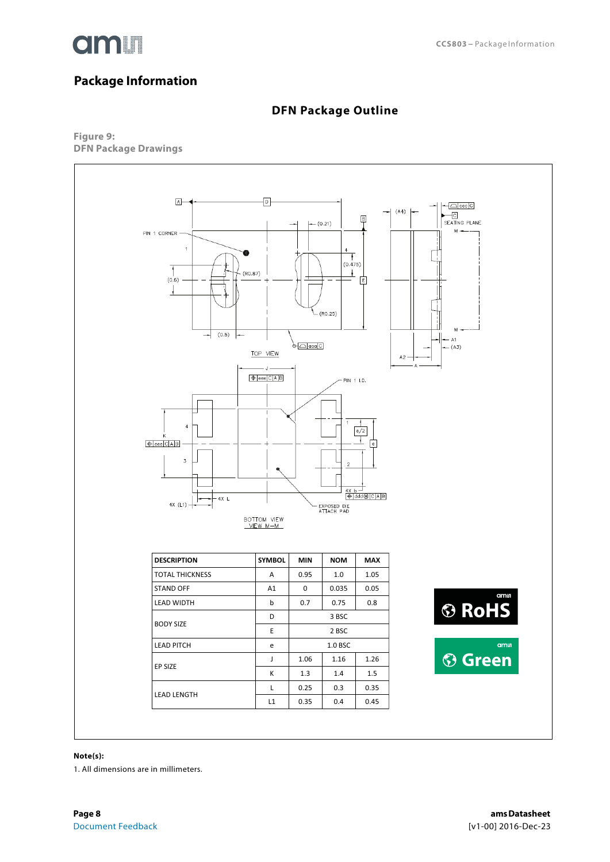

# <span id="page-7-0"></span>**Package Information**

## **DFN Package Outline**

<span id="page-7-1"></span>**Figure 9: DFN Package Drawings** 



#### **Note(s):**

1. All dimensions are in millimeters.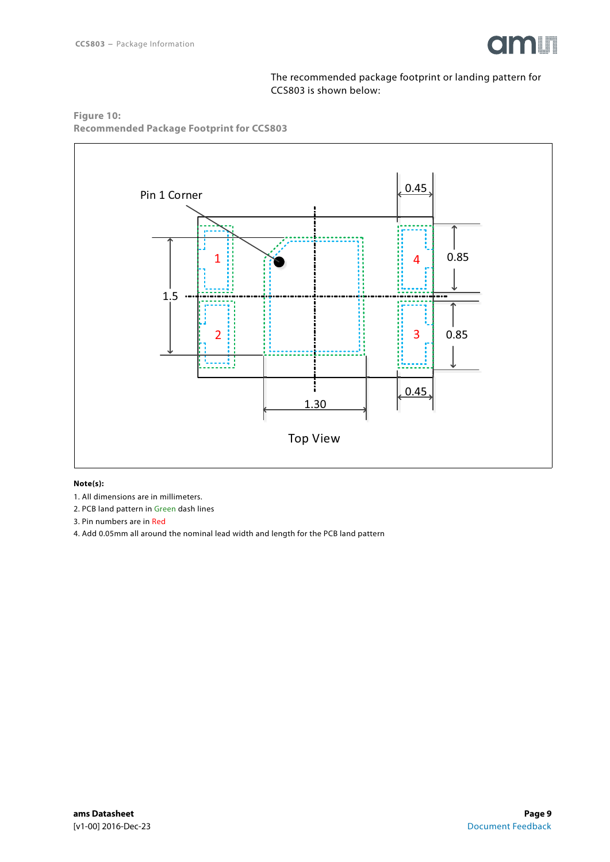

The recommended package footprint or landing pattern for CCS803 is shown below:

**Figure 10: Recommended Package Footprint for CCS803** 



#### **Note(s):**

- 1. All dimensions are in millimeters.
- 2. PCB land pattern in Green dash lines
- 3. Pin numbers are in Red
- 4. Add 0.05mm all around the nominal lead width and length for the PCB land pattern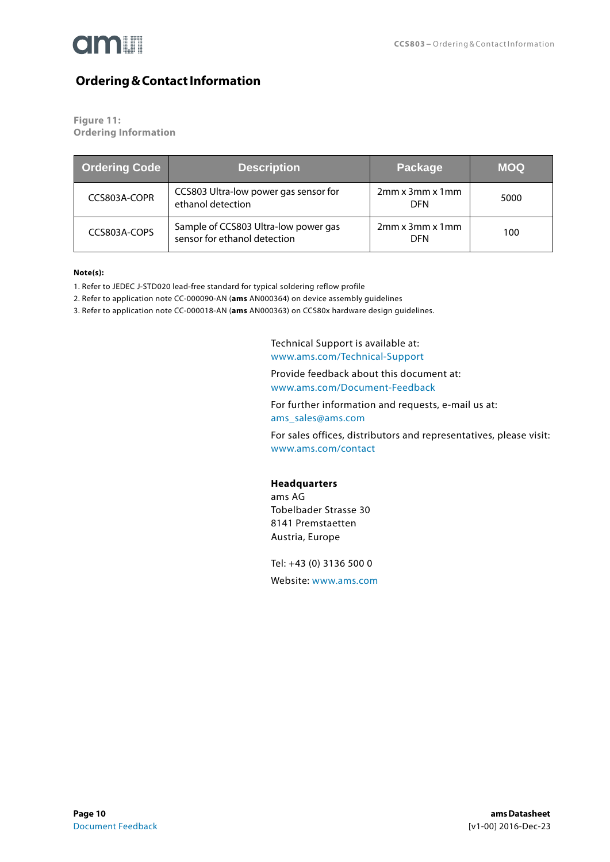

## <span id="page-9-0"></span>**Ordering & Contact Information**

**Figure 11:**

**Ordering Information**

| <b>Ordering Code</b> | <b>Description</b>                                                   | Package                            | <b>MOQ</b> |
|----------------------|----------------------------------------------------------------------|------------------------------------|------------|
| CCS803A-COPR         | CCS803 Ultra-low power gas sensor for<br>ethanol detection           | $2mm \times 3mm \times 1mm$<br>DFN | 5000       |
| CCS803A-COPS         | Sample of CCS803 Ultra-low power gas<br>sensor for ethanol detection | $2mm \times 3mm \times 1mm$<br>DFN | 100        |

#### **Note(s):**

1. Refer to JEDEC J-STD020 lead-free standard for typical soldering reflow profile

2. Refer to application note CC-000090-AN (**ams** AN000364) on device assembly guidelines

3. Refer to application note CC-000018-AN (**ams** AN000363) on CCS80x hardware design guidelines.

Technical Support is available at: <www.ams.com/Technical-Support>

Provide feedback about this document at: <www.ams.com/Document-Feedback>

For further information and requests, e-mail us at: [ams\\_sales@ams.com](mailto:ams_sales@ams.com)

For sales offices, distributors and representatives, please visit: <www.ams.com/contact>

### **Headquarters**

ams AG Tobelbader Strasse 30 8141 Premstaetten Austria, Europe

Tel: +43 (0) 3136 500 0 Website: <www.ams.com>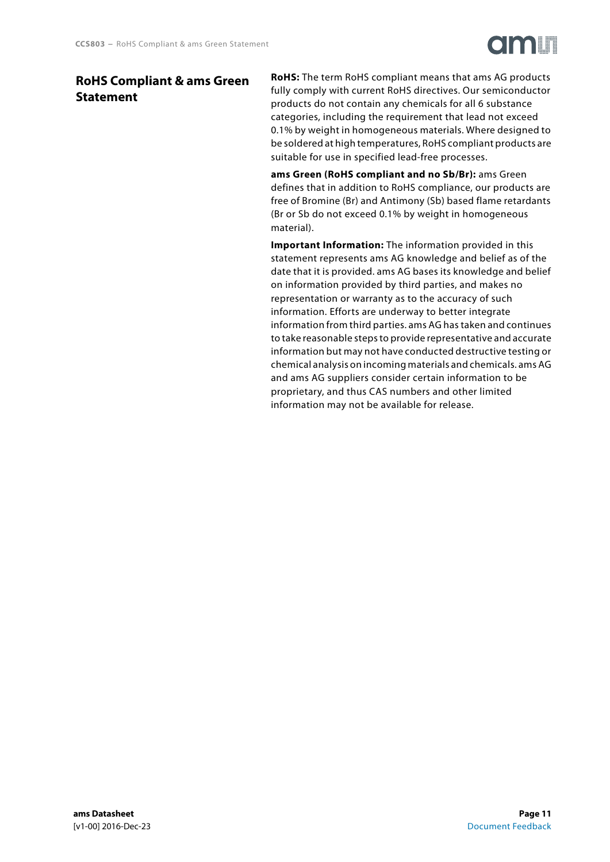## <span id="page-10-0"></span>**RoHS Compliant & ams Green Statement**

**RoHS:** The term RoHS compliant means that ams AG products fully comply with current RoHS directives. Our semiconductor products do not contain any chemicals for all 6 substance categories, including the requirement that lead not exceed 0.1% by weight in homogeneous materials. Where designed to be soldered at high temperatures, RoHS compliant products are suitable for use in specified lead-free processes.

**ams Green (RoHS compliant and no Sb/Br):** ams Green defines that in addition to RoHS compliance, our products are free of Bromine (Br) and Antimony (Sb) based flame retardants (Br or Sb do not exceed 0.1% by weight in homogeneous material).

**Important Information:** The information provided in this statement represents ams AG knowledge and belief as of the date that it is provided. ams AG bases its knowledge and belief on information provided by third parties, and makes no representation or warranty as to the accuracy of such information. Efforts are underway to better integrate information from third parties. ams AG has taken and continues to take reasonable steps to provide representative and accurate information but may not have conducted destructive testing or chemical analysis on incoming materials and chemicals. ams AG and ams AG suppliers consider certain information to be proprietary, and thus CAS numbers and other limited information may not be available for release.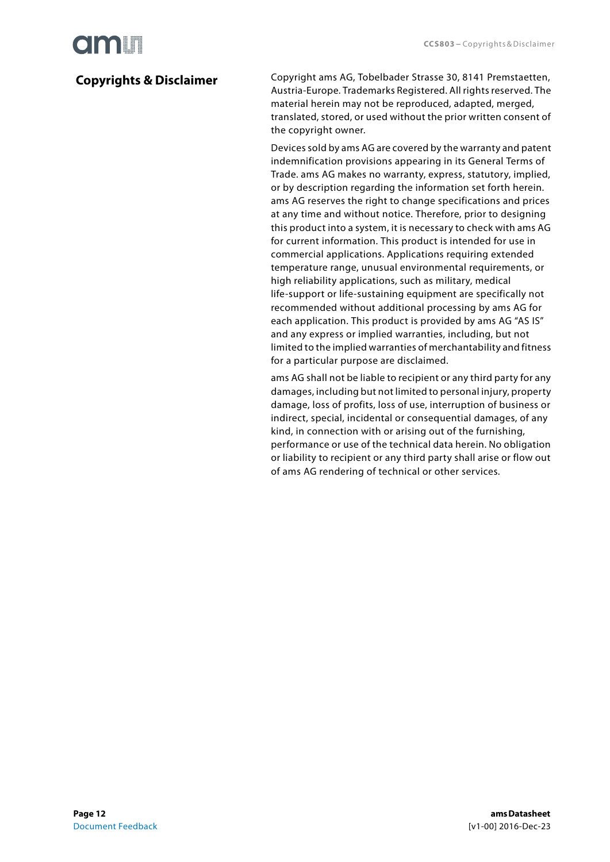# **Olaalit**

# <span id="page-11-0"></span>**Copyrights & Disclaimer**

Copyright ams AG, Tobelbader Strasse 30, 8141 Premstaetten, Austria-Europe. Trademarks Registered. All rights reserved. The material herein may not be reproduced, adapted, merged, translated, stored, or used without the prior written consent of the copyright owner.

Devices sold by ams AG are covered by the warranty and patent indemnification provisions appearing in its General Terms of Trade. ams AG makes no warranty, express, statutory, implied, or by description regarding the information set forth herein. ams AG reserves the right to change specifications and prices at any time and without notice. Therefore, prior to designing this product into a system, it is necessary to check with ams AG for current information. This product is intended for use in commercial applications. Applications requiring extended temperature range, unusual environmental requirements, or high reliability applications, such as military, medical life-support or life-sustaining equipment are specifically not recommended without additional processing by ams AG for each application. This product is provided by ams AG "AS IS" and any express or implied warranties, including, but not limited to the implied warranties of merchantability and fitness for a particular purpose are disclaimed.

ams AG shall not be liable to recipient or any third party for any damages, including but not limited to personal injury, property damage, loss of profits, loss of use, interruption of business or indirect, special, incidental or consequential damages, of any kind, in connection with or arising out of the furnishing, performance or use of the technical data herein. No obligation or liability to recipient or any third party shall arise or flow out of ams AG rendering of technical or other services.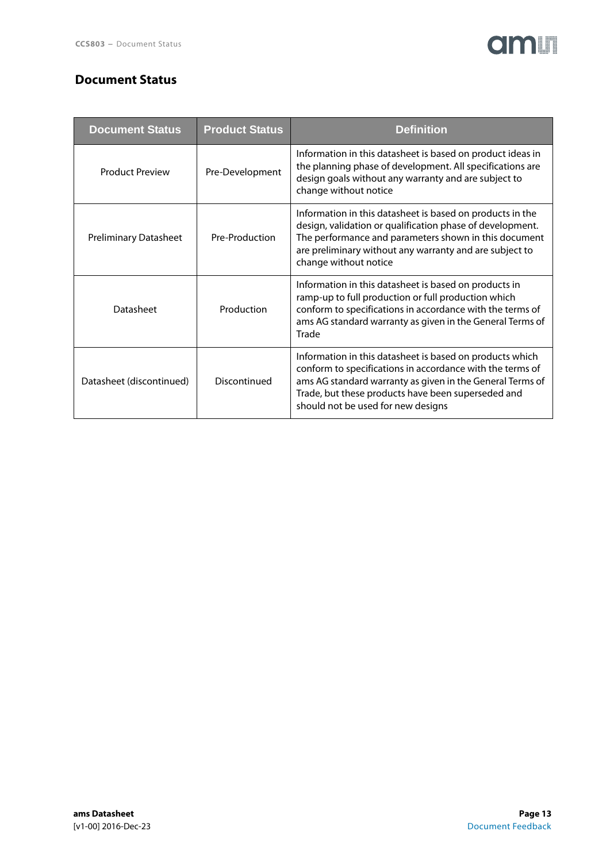# **amin**

## <span id="page-12-0"></span>**Document Status**

| <b>Document Status</b>       | <b>Product Status</b> | <b>Definition</b>                                                                                                                                                                                                                                                              |
|------------------------------|-----------------------|--------------------------------------------------------------------------------------------------------------------------------------------------------------------------------------------------------------------------------------------------------------------------------|
| <b>Product Preview</b>       | Pre-Development       | Information in this datasheet is based on product ideas in<br>the planning phase of development. All specifications are<br>design goals without any warranty and are subject to<br>change without notice                                                                       |
| <b>Preliminary Datasheet</b> | Pre-Production        | Information in this datasheet is based on products in the<br>design, validation or qualification phase of development.<br>The performance and parameters shown in this document<br>are preliminary without any warranty and are subject to<br>change without notice            |
| Datasheet                    | Production            | Information in this datasheet is based on products in<br>ramp-up to full production or full production which<br>conform to specifications in accordance with the terms of<br>ams AG standard warranty as given in the General Terms of<br>Trade                                |
| Datasheet (discontinued)     | Discontinued          | Information in this datasheet is based on products which<br>conform to specifications in accordance with the terms of<br>ams AG standard warranty as given in the General Terms of<br>Trade, but these products have been superseded and<br>should not be used for new designs |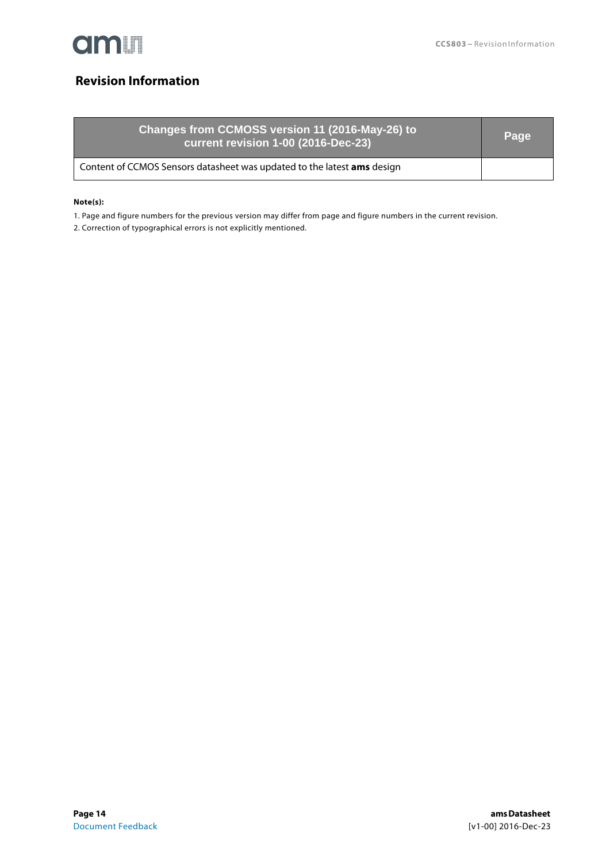

# <span id="page-13-0"></span>**Revision Information**

| Changes from CCMOSS version 11 (2016-May-26) to<br>current revision 1-00 (2016-Dec-23) | Page |
|----------------------------------------------------------------------------------------|------|
| Content of CCMOS Sensors datasheet was updated to the latest ams design                |      |

### **Note(s):**

1. Page and figure numbers for the previous version may differ from page and figure numbers in the current revision.

2. Correction of typographical errors is not explicitly mentioned.